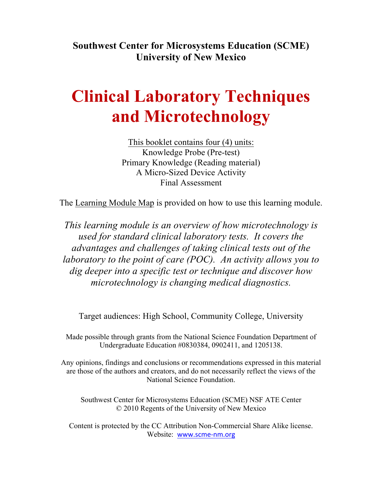**Southwest Center for Microsystems Education (SCME) University of New Mexico**

## **Clinical Laboratory Techniques and Microtechnology**

This booklet contains four (4) units: Knowledge Probe (Pre-test) Primary Knowledge (Reading material) A Micro-Sized Device Activity Final Assessment

The Learning Module Map is provided on how to use this learning module.

*This learning module is an overview of how microtechnology is used for standard clinical laboratory tests. It covers the advantages and challenges of taking clinical tests out of the laboratory to the point of care (POC). An activity allows you to dig deeper into a specific test or technique and discover how microtechnology is changing medical diagnostics.* 

Target audiences: High School, Community College, University

Made possible through grants from the National Science Foundation Department of Undergraduate Education #0830384, 0902411, and 1205138.

Any opinions, findings and conclusions or recommendations expressed in this material are those of the authors and creators, and do not necessarily reflect the views of the National Science Foundation.

Southwest Center for Microsystems Education (SCME) NSF ATE Center © 2010 Regents of the University of New Mexico

Content is protected by the CC Attribution Non-Commercial Share Alike license. Website: www.scme-nm.org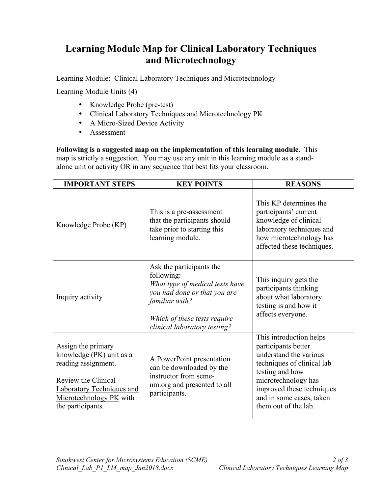## **Learning Module Map for Clinical Laboratory Techniques and Microtechnology**

Learning Module: Clinical Laboratory Techniques and Microtechnology

Learning Module Units (4)

- Knowledge Probe (pre-test)
- Clinical Laboratory Techniques and Microtechnology PK
- A Micro-Sized Device Activity
- Assessment

**Following is a suggested map on the implementation of this learning module**. This map is strictly a suggestion. You may use any unit in this learning module as a standalone unit or activity OR in any sequence that best fits your classroom.

| <b>IMPORTANT STEPS</b>                                                                                                                                                           | <b>KEY POINTS</b>                                                                                                                                                                           | <b>REASONS</b>                                                                                                                                                                                                                    |
|----------------------------------------------------------------------------------------------------------------------------------------------------------------------------------|---------------------------------------------------------------------------------------------------------------------------------------------------------------------------------------------|-----------------------------------------------------------------------------------------------------------------------------------------------------------------------------------------------------------------------------------|
| Knowledge Probe (KP)                                                                                                                                                             | This is a pre-assessment<br>that the participants should<br>take prior to starting this<br>learning module.                                                                                 | This KP determines the<br>participants' current<br>knowledge of clinical<br>laboratory techniques and<br>how microtechnology has<br>affected these techniques.                                                                    |
| Inquiry activity                                                                                                                                                                 | Ask the participants the<br>following:<br>What type of medical tests have<br>you had done or that you are<br>familiar with?<br>Which of these tests require<br>clinical laboratory testing? | This inquiry gets the<br>participants thinking<br>about what laboratory<br>testing is and how it<br>affects everyone.                                                                                                             |
| Assign the primary<br>knowledge (PK) unit as a<br>reading assignment.<br>Review the Clinical<br><b>Laboratory Techniques and</b><br>Microtechnology PK with<br>the participants. | A PowerPoint presentation<br>can be downloaded by the<br>instructor from scme-<br>nm.org and presented to all<br>participants.                                                              | This introduction helps<br>participants better<br>understand the various<br>techniques of clinical lab<br>testing and how<br>microtechnology has<br>improved these techniques<br>and in some cases, taken<br>them out of the lab. |